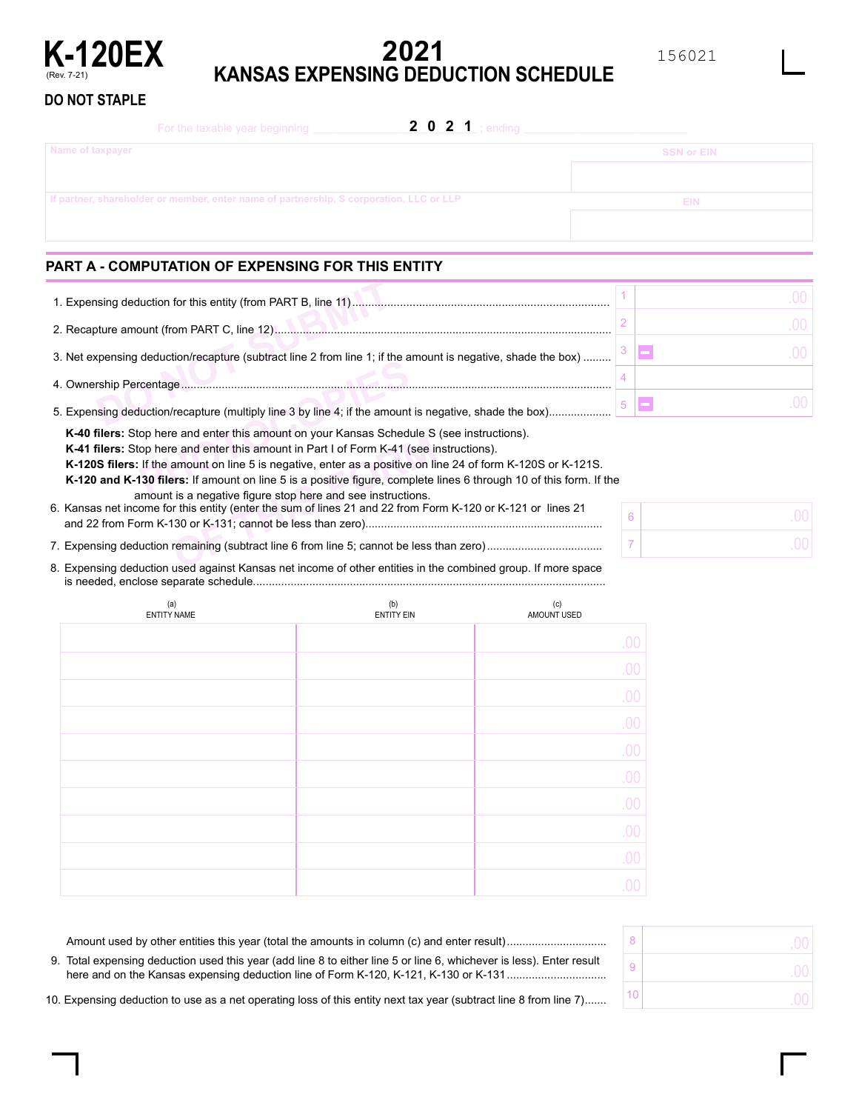

# **2021 K-120EX**<br>KANSAS EXPENSING DEDUCTION SCHEDULE

156021

**DO NOT STAPLE**

| <b>2 0 2 1</b> ; ending<br>For the taxable year beginning                               |                   |
|-----------------------------------------------------------------------------------------|-------------------|
| Name of taxpayer                                                                        | <b>SSN or EIN</b> |
|                                                                                         |                   |
| If partner, shareholder or member, enter name of partnership, S corporation, LLC or LLP | EIN               |
|                                                                                         |                   |
|                                                                                         |                   |

# **PART A - COMPUTATION OF EXPENSING FOR THIS ENTITY**

| 3. Net expensing deduction/recapture (subtract line 2 from line 1; if the amount is negative, shade the box)                                                                          |  |
|---------------------------------------------------------------------------------------------------------------------------------------------------------------------------------------|--|
|                                                                                                                                                                                       |  |
| 5. Expensing deduction/recapture (multiply line 3 by line 4; if the amount is negative, shade the box)                                                                                |  |
| K-40 filers: Stop here and enter this amount on your Kansas Schedule S (see instructions).<br>K-41 filers: Stop here and enter this amount in Part I of Form K-41 (see instructions). |  |

**K-41 filers:** Stop here and enter this amount in Part I of Form K-41 (see instructions).

7. Expensing deduction remaining (subtract line 6 from line 5; cannot be less than zero).....................................

**K-120S filers:** If the amount on line 5 is negative, enter as a positive on line 24 of form K-120S or K-121S.

op here and enter this<br>
op here and enter this<br>
If the amount on line<br> **130 filers:** If amount on<br> **PHOTE:** If amount on **K-120 and K-130 filers:** If amount on line 5 is a positive figure, complete lines 6 through 10 of this form. If the

amount is a negative figure stop here and see instructions.

E and enter this amount on your Ransas Schedule O<br>
e and enter this amount in Part I of Form K-41 (see in<br>
amount on line 5 is negative, enter as a positive on line<br> **SECULE 15 ALC ENTER AND SECULAR CONSECUTE:**<br>
It is a ne 6. Kansas net income for this entity (enter the sum of lines 21 and 22 from Form K-120 or K-121 or lines 21 and 22 from Form K-130 or K-131; cannot be less than zero)............................................................................

6 7

8. Expensing deduction used against Kansas net income of other entities in the combined group. If more space is needed, enclose separate schedule. ................................................................................................................

| (a)<br>ENTITY NAME | (b)<br>ENTITY EIN | (c)<br>AMOUNT USED |
|--------------------|-------------------|--------------------|
|                    |                   | .00                |
|                    |                   | .00                |
|                    |                   | .00                |
|                    |                   | .00                |
|                    |                   | .00                |
|                    |                   | .00                |
|                    |                   | .00                |
|                    |                   | .00                |
|                    |                   | .00                |
|                    |                   | 00                 |

| 9. Total expensing deduction used this year (add line 8 to either line 5 or line 6, whichever is less). Enter result |  |
|----------------------------------------------------------------------------------------------------------------------|--|
| 10. Expensing deduction to use as a net operating loss of this entity next tax year (subtract line 8 from line 7)    |  |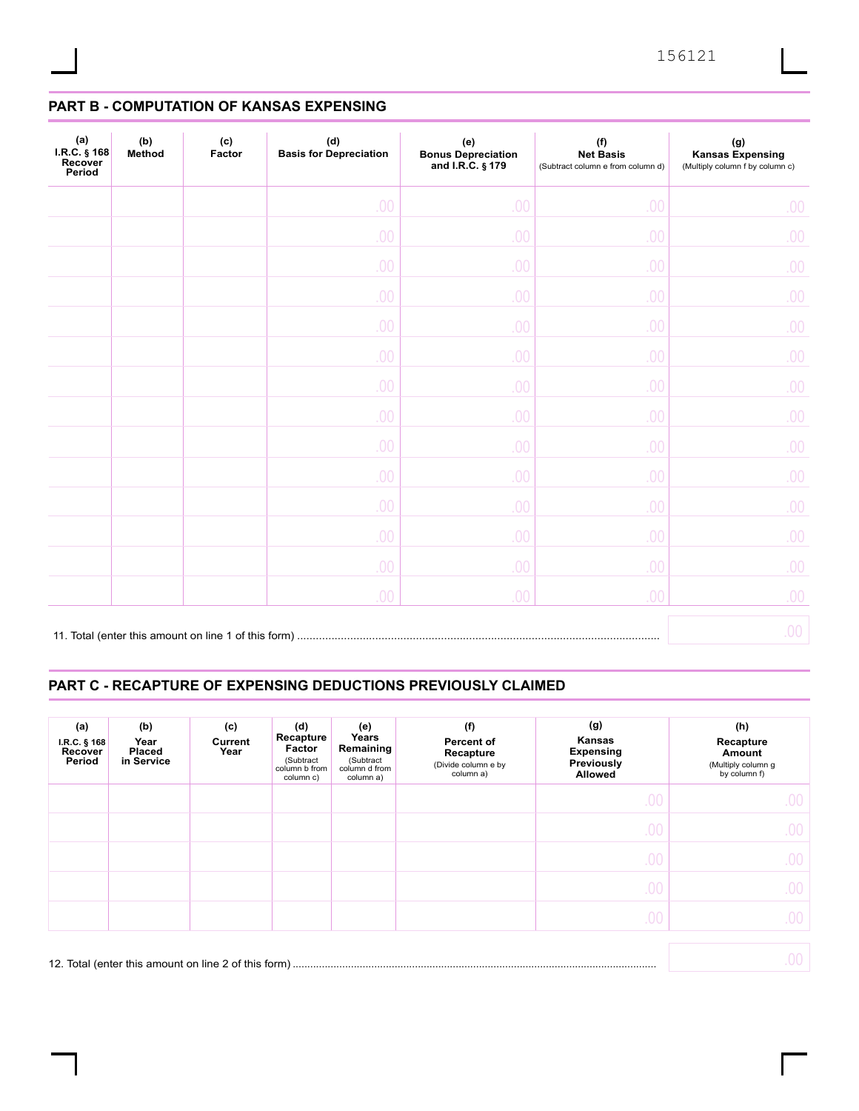# **PART B - COMPUTATION OF KANSAS EXPENSING**

| (a)<br>I.R.C. § 168<br>Recover<br>Period | (b)<br>Method | (c)<br>Factor | (d)<br><b>Basis for Depreciation</b> | (e)<br><b>Bonus Depreciation</b><br>and I.R.C. § 179 | (f)<br><b>Net Basis</b><br>(Subtract column e from column d) | (g)<br><b>Kansas Expensing</b><br>(Multiply column f by column c) |
|------------------------------------------|---------------|---------------|--------------------------------------|------------------------------------------------------|--------------------------------------------------------------|-------------------------------------------------------------------|
|                                          |               |               | .00                                  | .00                                                  | .00                                                          | 00.                                                               |
|                                          |               |               | .00                                  | .00                                                  | .00                                                          | 00.                                                               |
|                                          |               |               | .00                                  | .00                                                  | .00                                                          | 00.                                                               |
|                                          |               |               | .00                                  | .00                                                  | .00                                                          | 00.                                                               |
|                                          |               |               | .00                                  | .00                                                  | .00                                                          | 00.                                                               |
|                                          |               |               | .00                                  | .00                                                  | .00                                                          | 00.                                                               |
|                                          |               |               | .00                                  | .00                                                  | .00                                                          | 00.                                                               |
|                                          |               |               | .00                                  | .00                                                  | .00                                                          | 00.                                                               |
|                                          |               |               | .00                                  | .00                                                  | .00                                                          | 00.                                                               |
|                                          |               |               | .00                                  | .00                                                  | .00                                                          | 00.                                                               |
|                                          |               |               | .00                                  | .00                                                  | .00                                                          | 00.                                                               |
|                                          |               |               | .00                                  | .00                                                  | .00                                                          | 00.                                                               |
|                                          |               |               | .00                                  | .00                                                  | .00                                                          | 00.                                                               |
|                                          |               |               | .00                                  | .00                                                  | .00                                                          | 00.                                                               |
|                                          |               |               |                                      |                                                      |                                                              | 00.                                                               |

## **PART C - RECAPTURE OF EXPENSING DEDUCTIONS PREVIOUSLY CLAIMED**

| (a)<br>$I.R.C.$ § 168<br>Recover<br>Period | (b)<br>Year<br><b>Placed</b><br>in Service | (c)<br>Current<br>Year | (d)<br>Recapture<br>Factor<br>(Subtract<br>column b from<br>column c) | (e)<br>Years<br>Remaining<br>(Subtract<br>column d from<br>column a) | (f)<br><b>Percent of</b><br>Recapture<br>(Divide column e by<br>column a) | (g)<br>Kansas<br><b>Expensing</b><br>Previously<br><b>Allowed</b> | (h)<br>Recapture<br>Amount<br>(Multiply column g<br>by column f) |
|--------------------------------------------|--------------------------------------------|------------------------|-----------------------------------------------------------------------|----------------------------------------------------------------------|---------------------------------------------------------------------------|-------------------------------------------------------------------|------------------------------------------------------------------|
|                                            |                                            |                        |                                                                       |                                                                      |                                                                           | .00                                                               | .00                                                              |
|                                            |                                            |                        |                                                                       |                                                                      |                                                                           | .00                                                               | .00                                                              |
|                                            |                                            |                        |                                                                       |                                                                      |                                                                           | .00                                                               | .00.                                                             |
|                                            |                                            |                        |                                                                       |                                                                      |                                                                           | .00                                                               | .00                                                              |
|                                            |                                            |                        |                                                                       |                                                                      |                                                                           | .00                                                               | .00                                                              |
|                                            |                                            |                        |                                                                       |                                                                      |                                                                           |                                                                   | .00                                                              |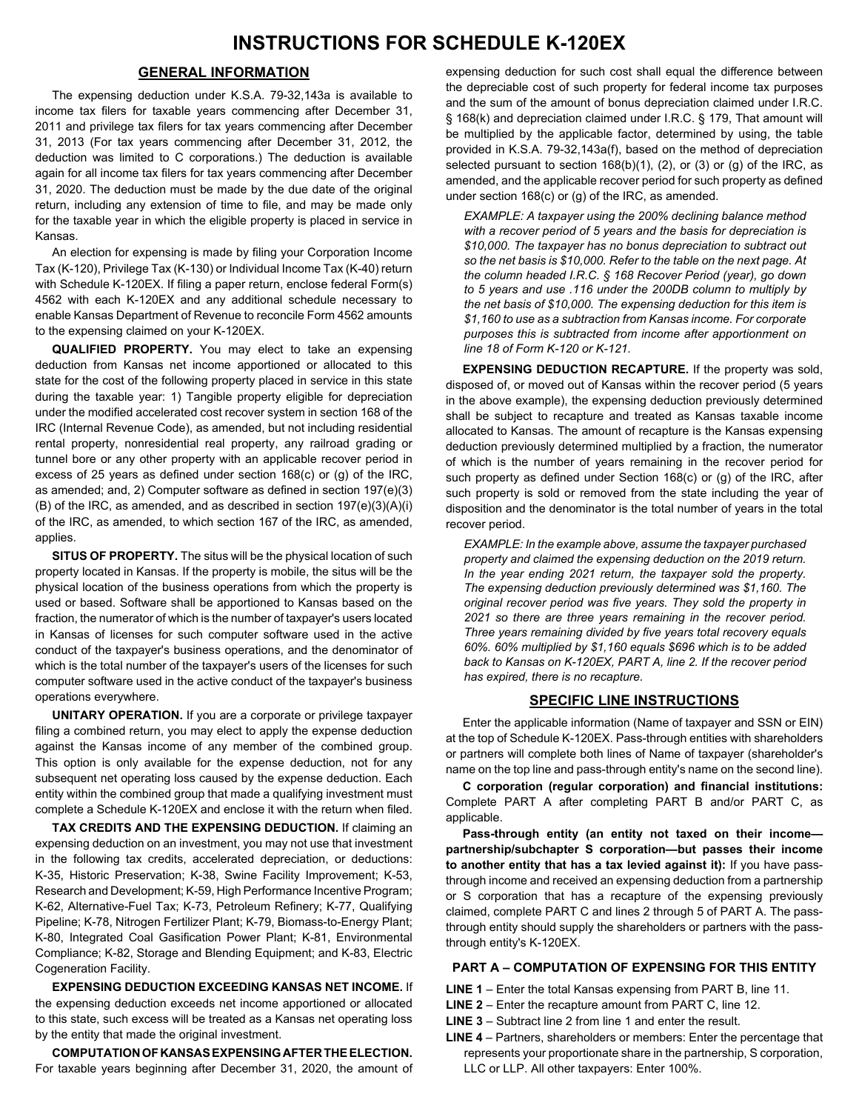## **GENERAL INFORMATION**

The expensing deduction under K.S.A. 79-32,143a is available to income tax filers for taxable years commencing after December 31, 2011 and privilege tax filers for tax years commencing after December 31, 2013 (For tax years commencing after December 31, 2012, the deduction was limited to C corporations.) The deduction is available again for all income tax filers for tax years commencing after December 31, 2020. The deduction must be made by the due date of the original return, including any extension of time to file, and may be made only for the taxable year in which the eligible property is placed in service in Kansas.

An election for expensing is made by filing your Corporation Income Tax (K-120), Privilege Tax (K-130) or Individual Income Tax (K-40) return with Schedule K-120EX. If filing a paper return, enclose federal Form(s) 4562 with each K-120EX and any additional schedule necessary to enable Kansas Department of Revenue to reconcile Form 4562 amounts to the expensing claimed on your K-120EX.

**QUALIFIED PROPERTY.** You may elect to take an expensing deduction from Kansas net income apportioned or allocated to this state for the cost of the following property placed in service in this state during the taxable year: 1) Tangible property eligible for depreciation under the modified accelerated cost recover system in section 168 of the IRC (Internal Revenue Code), as amended, but not including residential rental property, nonresidential real property, any railroad grading or tunnel bore or any other property with an applicable recover period in excess of 25 years as defined under section 168(c) or (g) of the IRC, as amended; and, 2) Computer software as defined in section 197(e)(3) (B) of the IRC, as amended, and as described in section 197(e)(3)(A)(i) of the IRC, as amended, to which section 167 of the IRC, as amended, applies.

**SITUS OF PROPERTY.** The situs will be the physical location of such property located in Kansas. If the property is mobile, the situs will be the physical location of the business operations from which the property is used or based. Software shall be apportioned to Kansas based on the fraction, the numerator of which is the number of taxpayer's users located in Kansas of licenses for such computer software used in the active conduct of the taxpayer's business operations, and the denominator of which is the total number of the taxpayer's users of the licenses for such computer software used in the active conduct of the taxpayer's business operations everywhere.

**UNITARY OPERATION.** If you are a corporate or privilege taxpayer filing a combined return, you may elect to apply the expense deduction against the Kansas income of any member of the combined group. This option is only available for the expense deduction, not for any subsequent net operating loss caused by the expense deduction. Each entity within the combined group that made a qualifying investment must complete a Schedule K-120EX and enclose it with the return when filed.

**TAX CREDITS AND THE EXPENSING DEDUCTION.** If claiming an expensing deduction on an investment, you may not use that investment in the following tax credits, accelerated depreciation, or deductions: K-35, Historic Preservation; K-38, Swine Facility Improvement; K-53, Research and Development; K-59, High Performance Incentive Program; K-62, Alternative-Fuel Tax; K-73, Petroleum Refinery; K-77, Qualifying Pipeline; K-78, Nitrogen Fertilizer Plant; K-79, Biomass-to-Energy Plant; K-80, Integrated Coal Gasification Power Plant; K-81, Environmental Compliance; K-82, Storage and Blending Equipment; and K-83, Electric Cogeneration Facility.

**EXPENSING DEDUCTION EXCEEDING KANSAS NET INCOME.** If the expensing deduction exceeds net income apportioned or allocated to this state, such excess will be treated as a Kansas net operating loss by the entity that made the original investment.

**COMPUTATION OF KANSAS EXPENSING AFTER THE ELECTION.** For taxable years beginning after December 31, 2020, the amount of expensing deduction for such cost shall equal the difference between the depreciable cost of such property for federal income tax purposes and the sum of the amount of bonus depreciation claimed under I.R.C. § 168(k) and depreciation claimed under I.R.C. § 179, That amount will be multiplied by the applicable factor, determined by using, the table provided in K.S.A. 79-32,143a(f), based on the method of depreciation selected pursuant to section  $168(b)(1)$ , (2), or (3) or (g) of the IRC, as amended, and the applicable recover period for such property as defined under section 168(c) or (g) of the IRC, as amended.

*EXAMPLE: A taxpayer using the 200% declining balance method with a recover period of 5 years and the basis for depreciation is \$10,000. The taxpayer has no bonus depreciation to subtract out so the net basis is \$10,000. Refer to the table on the next page. At the column headed I.R.C. § 168 Recover Period (year), go down to 5 years and use .116 under the 200DB column to multiply by the net basis of \$10,000. The expensing deduction for this item is \$1,160 to use as a subtraction from Kansas income. For corporate purposes this is subtracted from income after apportionment on line 18 of Form K-120 or K-121.*

**EXPENSING DEDUCTION RECAPTURE.** If the property was sold, disposed of, or moved out of Kansas within the recover period (5 years in the above example), the expensing deduction previously determined shall be subject to recapture and treated as Kansas taxable income allocated to Kansas. The amount of recapture is the Kansas expensing deduction previously determined multiplied by a fraction, the numerator of which is the number of years remaining in the recover period for such property as defined under Section 168(c) or (g) of the IRC, after such property is sold or removed from the state including the year of disposition and the denominator is the total number of years in the total recover period.

*EXAMPLE: In the example above, assume the taxpayer purchased property and claimed the expensing deduction on the 2019 return. In the year ending 2021 return, the taxpayer sold the property. The expensing deduction previously determined was \$1,160. The original recover period was five years. They sold the property in 2021 so there are three years remaining in the recover period. Three years remaining divided by five years total recovery equals 60%. 60% multiplied by \$1,160 equals \$696 which is to be added back to Kansas on K-120EX, PART A, line 2. If the recover period has expired, there is no recapture.*

## **SPECIFIC LINE INSTRUCTIONS**

Enter the applicable information (Name of taxpayer and SSN or EIN) at the top of Schedule K-120EX. Pass-through entities with shareholders or partners will complete both lines of Name of taxpayer (shareholder's name on the top line and pass-through entity's name on the second line).

**C corporation (regular corporation) and financial institutions:** Complete PART A after completing PART B and/or PART C, as applicable.

**Pass-through entity (an entity not taxed on their income partnership/subchapter S corporation—but passes their income to another entity that has a tax levied against it):** If you have passthrough income and received an expensing deduction from a partnership or S corporation that has a recapture of the expensing previously claimed, complete PART C and lines 2 through 5 of PART A. The passthrough entity should supply the shareholders or partners with the passthrough entity's K-120EX.

### **PART A – COMPUTATION OF EXPENSING FOR THIS ENTITY**

- **LINE 1** Enter the total Kansas expensing from PART B, line 11.
- **LINE 2** Enter the recapture amount from PART C, line 12.
- **LINE 3** Subtract line 2 from line 1 and enter the result.
- **LINE 4** Partners, shareholders or members: Enter the percentage that represents your proportionate share in the partnership, S corporation, LLC or LLP. All other taxpayers: Enter 100%.